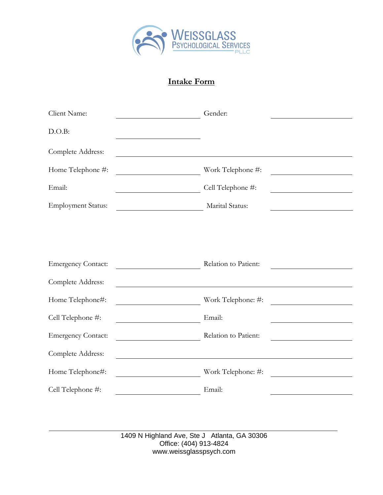

## **Intake Form**

| Client Name:              | Gender:                                                                                                                                   |                                                   |
|---------------------------|-------------------------------------------------------------------------------------------------------------------------------------------|---------------------------------------------------|
| D.O.B:                    |                                                                                                                                           |                                                   |
| Complete Address:         |                                                                                                                                           |                                                   |
| Home Telephone #:         | Work Telephone #:<br><u> 1980 - Johann Barn, mars ann an t-Amhain Aonaich an t-Aonaich an t-Aonaich ann an t-Aonaich ann an t-Aonaich</u> |                                                   |
| Email:                    | Cell Telephone #:                                                                                                                         |                                                   |
| <b>Employment Status:</b> | Marital Status:                                                                                                                           |                                                   |
|                           |                                                                                                                                           |                                                   |
|                           |                                                                                                                                           |                                                   |
| <b>Emergency Contact:</b> | Relation to Patient:                                                                                                                      |                                                   |
| Complete Address:         |                                                                                                                                           |                                                   |
| Home Telephone#:          | Work Telephone: #:                                                                                                                        |                                                   |
| Cell Telephone #:         | Email:                                                                                                                                    |                                                   |
| <b>Emergency Contact:</b> | Relation to Patient:                                                                                                                      | <u> 1989 - Johann Barbara, martxa alemaniar a</u> |
| Complete Address:         |                                                                                                                                           |                                                   |
| Home Telephone#:          | Work Telephone: #:                                                                                                                        |                                                   |
| Cell Telephone #:         | Email:                                                                                                                                    |                                                   |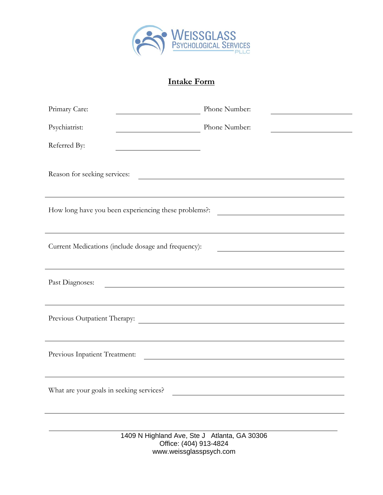

# **Intake Form**

| Primary Care:                                                                                                                                                               | Phone Number:                                                                                                                                       |  |
|-----------------------------------------------------------------------------------------------------------------------------------------------------------------------------|-----------------------------------------------------------------------------------------------------------------------------------------------------|--|
| Psychiatrist:                                                                                                                                                               | Phone Number:                                                                                                                                       |  |
| Referred By:                                                                                                                                                                |                                                                                                                                                     |  |
| Reason for seeking services:                                                                                                                                                | <u> 1989 - Johann Barn, fransk politik amerikansk politik (</u><br>,我们也不会有什么。""我们的人,我们也不会有什么?""我们的人,我们也不会有什么?""我们的人,我们也不会有什么?""我们的人,我们也不会有什么?""我们的人 |  |
| How long have you been experiencing these problems?:<br><u> 2008 - Andrea Andrew Maria (h. 1878).</u>                                                                       |                                                                                                                                                     |  |
|                                                                                                                                                                             |                                                                                                                                                     |  |
| Current Medications (include dosage and frequency):<br><u> 1980 - Johann Barn, mars ann an t-Amhain Aonaich an t-Aonaich an t-Aonaich ann an t-Aonaich ann an t-Aonaich</u> |                                                                                                                                                     |  |
|                                                                                                                                                                             |                                                                                                                                                     |  |
| Past Diagnoses:                                                                                                                                                             | <u> 1989 - Johann Stoff, deutscher Stoffen und der Stoffen und der Stoffen und der Stoffen und der Stoffen und der</u>                              |  |
|                                                                                                                                                                             |                                                                                                                                                     |  |
| Previous Outpatient Therapy:                                                                                                                                                | <u> 1989 - Johann Barn, mars eta bainar eta baina eta baina eta baina eta baina eta baina eta baina eta baina e</u>                                 |  |
|                                                                                                                                                                             |                                                                                                                                                     |  |
| Previous Inpatient Treatment:                                                                                                                                               |                                                                                                                                                     |  |
|                                                                                                                                                                             |                                                                                                                                                     |  |
| What are your goals in seeking services?                                                                                                                                    |                                                                                                                                                     |  |
|                                                                                                                                                                             |                                                                                                                                                     |  |
| 1409 N Highland Ave, Ste J Atlanta, GA 30306<br>Office: (404) 913-4824<br>www.weissglasspsych.com                                                                           |                                                                                                                                                     |  |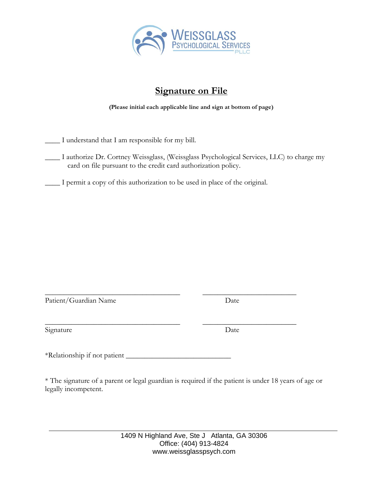

# **Signature on File**

**(Please initial each applicable line and sign at bottom of page)**

\_\_\_\_ I understand that I am responsible for my bill.

\_\_\_\_ I authorize Dr. Cortney Weissglass, (Weissglass Psychological Services, LLC) to charge my card on file pursuant to the credit card authorization policy.

\_\_\_\_ I permit a copy of this authorization to be used in place of the original.

Patient/Guardian Name Date

Signature Date

\_\_\_\_\_\_\_\_\_\_\_\_\_\_\_\_\_\_\_\_\_\_\_\_\_\_\_\_\_\_\_\_\_\_\_\_ \_\_\_\_\_\_\_\_\_\_\_\_\_\_\_\_\_\_\_\_\_\_\_\_\_

\*Relationship if not patient \_\_\_\_\_\_\_\_\_\_\_\_\_\_\_\_\_\_\_\_\_\_\_\_\_\_\_\_

\* The signature of a parent or legal guardian is required if the patient is under 18 years of age or legally incompetent.

\_\_\_\_\_\_\_\_\_\_\_\_\_\_\_\_\_\_\_\_\_\_\_\_\_\_\_\_\_\_\_\_\_\_\_\_ \_\_\_\_\_\_\_\_\_\_\_\_\_\_\_\_\_\_\_\_\_\_\_\_\_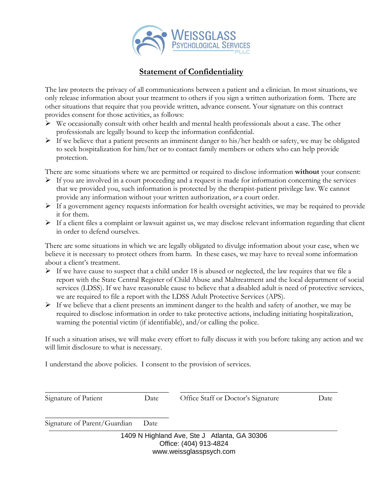

## **Statement of Confidentiality**

The law protects the privacy of all communications between a patient and a clinician. In most situations, we only release information about your treatment to others if you sign a written authorization form. There are other situations that require that you provide written, advance consent. Your signature on this contract provides consent for those activities, as follows:

- ➢ We occasionally consult with other health and mental health professionals about a case. The other professionals are legally bound to keep the information confidential.
- ➢ If we believe that a patient presents an imminent danger to his/her health or safety, we may be obligated to seek hospitalization for him/her or to contact family members or others who can help provide protection.

There are some situations where we are permitted or required to disclose information **without** your consent:

- $\triangleright$  If you are involved in a court proceeding and a request is made for information concerning the services that we provided you, such information is protected by the therapist-patient privilege law. We cannot provide any information without your written authorization, *or* a court order.
- ➢ If a government agency requests information for health oversight activities, we may be required to provide it for them.
- ➢ If a client files a complaint or lawsuit against us, we may disclose relevant information regarding that client in order to defend ourselves.

There are some situations in which we are legally obligated to divulge information about your case, when we believe it is necessary to protect others from harm. In these cases, we may have to reveal some information about a client's treatment.

- $\triangleright$  If we have cause to suspect that a child under 18 is abused or neglected, the law requires that we file a report with the State Central Register of Child Abuse and Maltreatment and the local department of social services (LDSS). If we have reasonable cause to believe that a disabled adult is need of protective services, we are required to file a report with the LDSS Adult Protective Services (APS).
- $\triangleright$  If we believe that a client presents an imminent danger to the health and safety of another, we may be required to disclose information in order to take protective actions, including initiating hospitalization, warning the potential victim (if identifiable), and/or calling the police.

If such a situation arises, we will make every effort to fully discuss it with you before taking any action and we will limit disclosure to what is necessary.

I understand the above policies. I consent to the provision of services.

\_\_\_\_\_\_\_\_\_\_\_\_\_\_\_\_\_\_\_\_\_\_\_\_\_\_\_\_\_\_\_\_\_ \_\_\_\_\_\_\_\_\_\_\_\_\_\_\_\_\_\_\_\_\_\_\_\_\_\_\_\_\_\_\_\_\_\_\_\_\_\_\_\_\_\_

Signature of Patient Date Date Office Staff or Doctor's Signature Date

Signature of Parent/Guardian Date

\_\_\_\_\_\_\_\_\_\_\_\_\_\_\_\_\_\_\_\_\_\_\_\_\_\_\_\_\_\_\_\_\_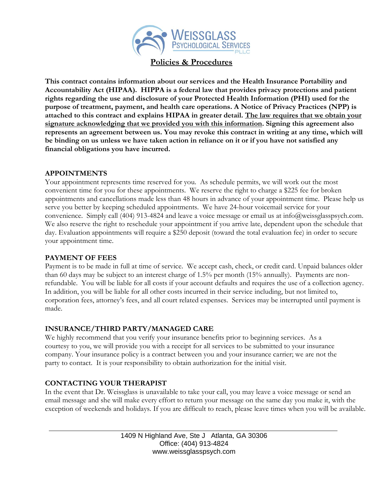

**Policies & Procedures**

**This contract contains information about our services and the Health Insurance Portability and Accountability Act (HIPAA). HIPPA is a federal law that provides privacy protections and patient rights regarding the use and disclosure of your Protected Health Information (PHI) used for the purpose of treatment, payment, and health care operations. A Notice of Privacy Practices (NPP) is attached to this contract and explains HIPAA in greater detail. The law requires that we obtain your signature acknowledging that we provided you with this information. Signing this agreement also represents an agreement between us. You may revoke this contract in writing at any time, which will be binding on us unless we have taken action in reliance on it or if you have not satisfied any financial obligations you have incurred.** 

#### **APPOINTMENTS**

Your appointment represents time reserved for you. As schedule permits, we will work out the most convenient time for you for these appointments. We reserve the right to charge a \$225 fee for broken appointments and cancellations made less than 48 hours in advance of your appointment time. Please help us serve you better by keeping scheduled appointments. We have 24-hour voicemail service for your convenience. Simply call (404) 913-4824 and leave a voice message or email us at info@weissglasspsych.com. We also reserve the right to reschedule your appointment if you arrive late, dependent upon the schedule that day. Evaluation appointments will require a \$250 deposit (toward the total evaluation fee) in order to secure your appointment time.

## **PAYMENT OF FEES**

Payment is to be made in full at time of service. We accept cash, check, or credit card. Unpaid balances older than 60 days may be subject to an interest charge of 1.5% per month (15% annually). Payments are nonrefundable. You will be liable for all costs if your account defaults and requires the use of a collection agency. In addition, you will be liable for all other costs incurred in their service including, but not limited to, corporation fees, attorney's fees, and all court related expenses. Services may be interrupted until payment is made.

## **INSURANCE/THIRD PARTY/MANAGED CARE**

We highly recommend that you verify your insurance benefits prior to beginning services. As a courtesy to you, we will provide you with a receipt for all services to be submitted to your insurance company. Your insurance policy is a contract between you and your insurance carrier; we are not the party to contact. It is your responsibility to obtain authorization for the initial visit.

## **CONTACTING YOUR THERAPIST**

In the event that Dr. Weissglass is unavailable to take your call, you may leave a voice message or send an email message and she will make every effort to return your message on the same day you make it, with the exception of weekends and holidays. If you are difficult to reach, please leave times when you will be available.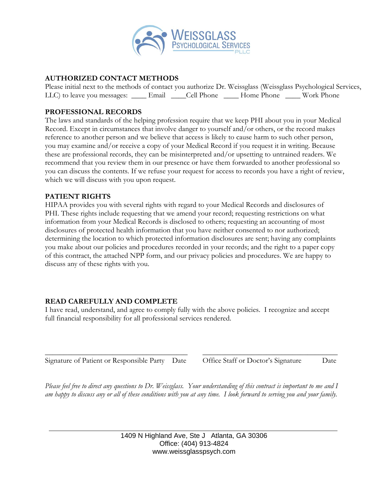

## **AUTHORIZED CONTACT METHODS**

Please initial next to the methods of contact you authorize Dr. Weissglass (Weissglass Psychological Services, LLC) to leave you messages: \_\_\_\_\_ Email \_\_\_\_Cell Phone \_\_\_\_\_ Home Phone \_\_\_\_\_ Work Phone

### **PROFESSIONAL RECORDS**

The laws and standards of the helping profession require that we keep PHI about you in your Medical Record. Except in circumstances that involve danger to yourself and/or others, or the record makes reference to another person and we believe that access is likely to cause harm to such other person, you may examine and/or receive a copy of your Medical Record if you request it in writing. Because these are professional records, they can be misinterpreted and/or upsetting to untrained readers. We recommend that you review them in our presence or have them forwarded to another professional so you can discuss the contents. If we refuse your request for access to records you have a right of review, which we will discuss with you upon request.

#### **PATIENT RIGHTS**

HIPAA provides you with several rights with regard to your Medical Records and disclosures of PHI. These rights include requesting that we amend your record; requesting restrictions on what information from your Medical Records is disclosed to others; requesting an accounting of most disclosures of protected health information that you have neither consented to nor authorized; determining the location to which protected information disclosures are sent; having any complaints you make about our policies and procedures recorded in your records; and the right to a paper copy of this contract, the attached NPP form, and our privacy policies and procedures. We are happy to discuss any of these rights with you.

## **READ CAREFULLY AND COMPLETE**

I have read, understand, and agree to comply fully with the above policies. I recognize and accept full financial responsibility for all professional services rendered.

\_\_\_\_\_\_\_\_\_\_\_\_\_\_\_\_\_\_\_\_\_\_\_\_\_\_\_\_\_\_\_\_\_\_\_\_\_\_ \_\_\_\_\_\_\_\_\_\_\_\_\_\_\_\_\_\_\_\_\_\_\_\_\_\_\_\_\_\_\_\_\_\_\_\_ Signature of Patient or Responsible Party Date Office Staff or Doctor's Signature Date

*Please feel free to direct any questions to Dr. Weissglass. Your understanding of this contract is important to me and I am happy to discuss any or all of these conditions with you at any time. I look forward to serving you and your family.*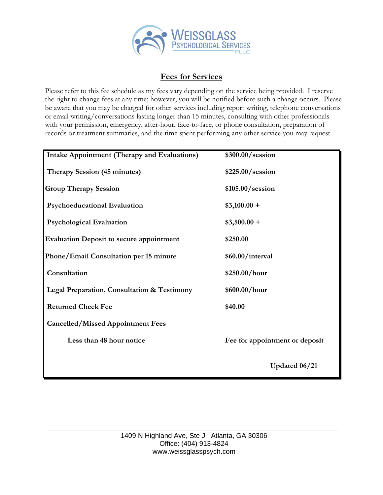

## **Fees for Services**

Please refer to this fee schedule as my fees vary depending on the service being provided. I reserve the right to change fees at any time; however, you will be notified before such a change occurs. Please be aware that you may be charged for other services including report writing, telephone conversations or email writing/conversations lasting longer than 15 minutes, consulting with other professionals with your permission, emergency, after-hour, face-to-face, or phone consultation, preparation of records or treatment summaries, and the time spent performing any other service you may request.

| <b>Intake Appointment (Therapy and Evaluations)</b> | \$300.00/session               |
|-----------------------------------------------------|--------------------------------|
| Therapy Session (45 minutes)                        | \$225.00/session               |
| <b>Group Therapy Session</b>                        | \$105.00/session               |
| <b>Psychoeducational Evaluation</b>                 | $$3,100.00 +$                  |
| <b>Psychological Evaluation</b>                     | $$3,500.00 +$                  |
| <b>Evaluation Deposit to secure appointment</b>     | \$250.00                       |
| Phone/Email Consultation per 15 minute              | \$60.00/interval               |
| Consultation                                        | \$250.00/hour                  |
| Legal Preparation, Consultation & Testimony         | \$600.00/hour                  |
| <b>Returned Check Fee</b>                           | \$40.00                        |
| <b>Cancelled/Missed Appointment Fees</b>            |                                |
| Less than 48 hour notice                            | Fee for appointment or deposit |
|                                                     | Updated 06/21                  |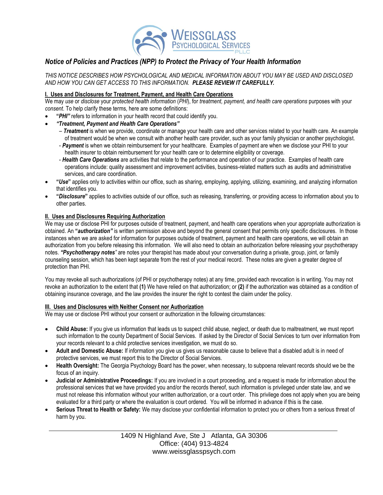

## *Notice of Policies and Practices (NPP) to Protect the Privacy of Your Health Information*

*THIS NOTICE DESCRIBES HOW PSYCHOLOGICAL AND MEDICAL INFORMATION ABOUT YOU MAY BE USED AND DISCLOSED AND HOW YOU CAN GET ACCESS TO THIS INFORMATION. PLEASE REVIEW IT CAREFULLY.*

#### **I. Uses and Disclosures for Treatment, Payment, and Health Care Operations**

We may *use* or *disclose* your *protected health information* (*PHI*), for *treatment, payment, and health care operations* purposes with your *consent*. To help clarify these terms, here are some definitions:

- **"***PHI"* refers to information in your health record that could identify you.
- *"Treatment, Payment and Health Care Operations"*
	- *Treatment* is when we provide, coordinate or manage your health care and other services related to your health care. An example of treatment would be when we consult with another health care provider, such as your family physician or another psychologist.
	- *Payment* is when we obtain reimbursement for your healthcare. Examples of payment are when we disclose your PHI to your health insurer to obtain reimbursement for your health care or to determine eligibility or coverage.
	- *Health Care Operations* are activities that relate to the performance and operation of our practice. Examples of health care operations include: quality assessment and improvement activities, business-related matters such as audits and administrative services, and care coordination.
- **"***Use***"** applies only to activities within our office, such as sharing, employing, applying, utilizing, examining, and analyzing information that identifies you.
- **"***Disclosure***"** applies to activities outside of our office, such as releasing, transferring, or providing access to information about you to other parties.

#### **II. Uses and Disclosures Requiring Authorization**

We may use or disclose PHI for purposes outside of treatment, payment, and health care operations when your appropriate authorization is obtained. An **"***authorization"* is written permission above and beyond the general consent that permits only specific disclosures. In those instances when we are asked for information for purposes outside of treatment, payment and health care operations, we will obtain an authorization from you before releasing this information. We will also need to obtain an authorization before releasing your psychotherapy notes. *"Psychotherapy notes"* are notes your therapist has made about your conversation during a private, group, joint, or family counseling session, which has been kept separate from the rest of your medical record. These notes are given a greater degree of protection than PHI.

You may revoke all such authorizations (of PHI or psychotherapy notes) at any time, provided each revocation is in writing. You may not revoke an authorization to the extent that **(1)** We have relied on that authorization; or **(2)** if the authorization was obtained as a condition of obtaining insurance coverage, and the law provides the insurer the right to contest the claim under the policy.

#### **III. Uses and Disclosures with Neither Consent nor Authorization**

We may use or disclose PHI without your consent or authorization in the following circumstances:

- **Child Abuse:** If you give us information that leads us to suspect child abuse, neglect, or death due to maltreatment, we must report such information to the county Department of Social Services. If asked by the Director of Social Services to turn over information from your records relevant to a child protective services investigation, we must do so.
- **Adult and Domestic Abuse:** If information you give us gives us reasonable cause to believe that a disabled adult is in need of protective services, we must report this to the Director of Social Services.
- **Health Oversight:** The Georgia Psychology Board has the power, when necessary, to subpoena relevant records should we be the focus of an inquiry.
- **Judicial or Administrative Proceedings:** If you are involved in a court proceeding, and a request is made for information about the professional services that we have provided you and/or the records thereof, such information is privileged under state law, and we must not release this information without your written authorization, or a court order. This privilege does not apply when you are being evaluated for a third party or where the evaluation is court ordered. You will be informed in advance if this is the case.
- **Serious Threat to Health or Safety:** We may disclose your confidential information to protect you or others from a serious threat of harm by you.